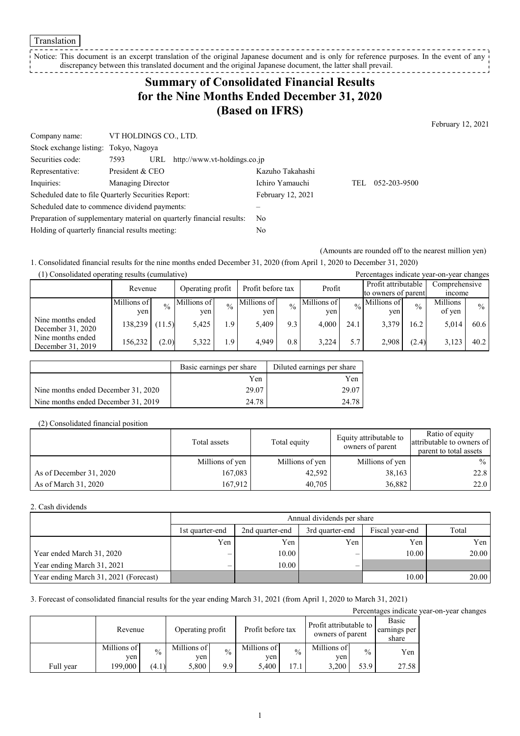Translation

Notice: This document is an excerpt translation of the original Japanese document and is only for reference purposes. In the event of any discrepancy between this translated document and the original Japanese document, the latter shall prevail. . . . . . . . . . . . . . . . .

## **Summary of Consolidated Financial Results for the Nine Months Ended December 31, 2020 (Based on IFRS)**

February 12, 2021

| Company name:                                       | VT HOLDINGS CO., LTD. |                                                                       |                   |     |              |
|-----------------------------------------------------|-----------------------|-----------------------------------------------------------------------|-------------------|-----|--------------|
| Stock exchange listing: Tokyo, Nagoya               |                       |                                                                       |                   |     |              |
| Securities code:                                    | 7593                  | URL http://www.vt-holdings.co.jp                                      |                   |     |              |
| Representative:                                     | President & CEO       |                                                                       | Kazuho Takahashi  |     |              |
| Inquiries:                                          | Managing Director     |                                                                       | Ichiro Yamauchi   | TEL | 052-203-9500 |
| Scheduled date to file Quarterly Securities Report: |                       |                                                                       | February 12, 2021 |     |              |
| Scheduled date to commence dividend payments:       |                       |                                                                       |                   |     |              |
|                                                     |                       | Preparation of supplementary material on quarterly financial results: | N <sub>0</sub>    |     |              |
| Holding of quarterly financial results meeting:     |                       |                                                                       | No                |     |              |

(Amounts are rounded off to the nearest million yen)

1. Consolidated financial results for the nine months ended December 31, 2020 (from April 1, 2020 to December 31, 2020)

| (1) Consolidated operating results (cumulative) |             |             |             |                                       |             |               |             | Percentages indicate year-on-year changes |                     |               |               |               |  |
|-------------------------------------------------|-------------|-------------|-------------|---------------------------------------|-------------|---------------|-------------|-------------------------------------------|---------------------|---------------|---------------|---------------|--|
|                                                 | Revenue     |             |             | Profit before tax<br>Operating profit |             |               | Profit      |                                           | Profit attributable |               | Comprehensive |               |  |
|                                                 |             |             |             |                                       |             |               |             |                                           | to owners of parent |               |               | <i>n</i> come |  |
|                                                 | Millions of | $^{0}/_{0}$ | Millions of | $\frac{0}{0}$                         | Millions of | $\frac{0}{0}$ | Millions of | $\frac{0}{6}$                             | Millions of         | $\frac{0}{0}$ | Millions      | $\frac{0}{0}$ |  |
|                                                 | yen         |             | ven         |                                       | ven         |               | ven         |                                           | ven                 |               | of yen        |               |  |
| Nine months ended                               | 138,239     | (1.5)       | 5,425       | 1.9                                   | 5.409       | 9.3           | 4.000       | 24.1                                      | 3.379               | 16.2          | 5,014         | 60.6          |  |
| December 31, 2020                               |             |             |             |                                       |             |               |             |                                           |                     |               |               |               |  |
| Nine months ended                               | 156,232     | (2.0)       | 5,322       | 1.9                                   | 4.949       | $0.8\,$       | 3.224       | 5.7                                       | 2.908               | (2.4)         | 3,123         | 40.2          |  |
| December 31, 2019                               |             |             |             |                                       |             |               |             |                                           |                     |               |               |               |  |

|                                     | Basic earnings per share | Diluted earnings per share |
|-------------------------------------|--------------------------|----------------------------|
|                                     | Yen                      | Yen                        |
| Nine months ended December 31, 2020 | 29.07                    | 29.07                      |
| Nine months ended December 31, 2019 | 24.78                    | 24.78                      |

#### (2) Consolidated financial position

|                         | Total assets    | Total equity    | Equity attributable to<br>owners of parent | Ratio of equity<br>attributable to owners of<br>parent to total assets |
|-------------------------|-----------------|-----------------|--------------------------------------------|------------------------------------------------------------------------|
|                         | Millions of yen | Millions of yen | Millions of yen                            | $\%$                                                                   |
| As of December 31, 2020 | 167,083         | 42,592          | 38,163                                     | 22.8                                                                   |
| As of March 31, 2020    | 167.912         | 40,705          | 36,882                                     | 22.0                                                                   |

#### 2. Cash dividends

|                                       |                 | Annual dividends per share |                 |                 |       |  |  |  |
|---------------------------------------|-----------------|----------------------------|-----------------|-----------------|-------|--|--|--|
|                                       | 1st quarter-end | 2nd quarter-end            | 3rd quarter-end | Fiscal year-end | Total |  |  |  |
|                                       | Yen             | Yen                        | Yen             | Yen             | Yen   |  |  |  |
| Year ended March 31, 2020             |                 | 10.00                      | _               | 10.00           | 20.00 |  |  |  |
| Year ending March 31, 2021            | —               | 10.00                      | -               |                 |       |  |  |  |
| Year ending March 31, 2021 (Forecast) |                 |                            |                 | 10.00           | 20.00 |  |  |  |

3. Forecast of consolidated financial results for the year ending March 31, 2021 (from April 1, 2020 to March 31, 2021)

Percentages indicate year-on-year changes

|           | Revenue            |               |                    | Profit before tax<br>Operating profit |                    | Profit attributable to<br>owners of parent |                    |               | Basic<br>earnings per<br>share |
|-----------|--------------------|---------------|--------------------|---------------------------------------|--------------------|--------------------------------------------|--------------------|---------------|--------------------------------|
|           | Millions of<br>ven | $\frac{0}{0}$ | Millions of<br>yen | $\frac{0}{0}$                         | Millions of<br>yen | $\frac{0}{0}$                              | Millions of<br>ven | $\frac{0}{0}$ | Yen                            |
| Full year | 199,000            | (4.1)         | 5,800              | 9.9                                   | 5.400              | 17.1                                       | 3,200              | 53.9          | 27.58                          |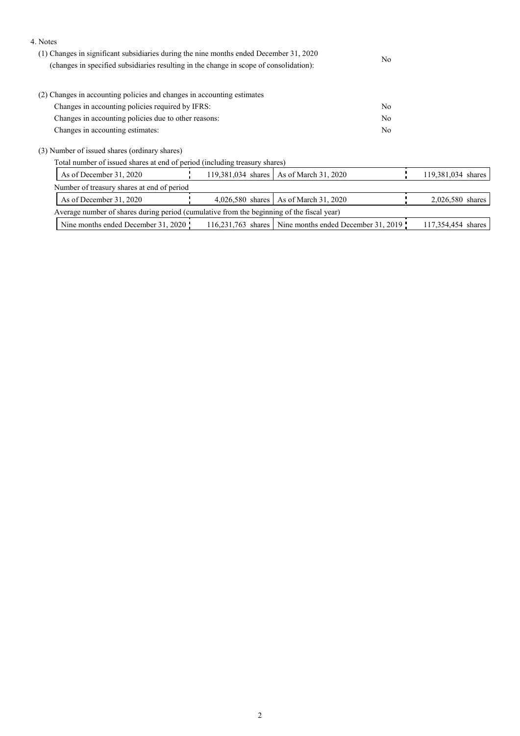#### 4. Notes

| (1) Changes in significant subsidiaries during the nine months ended December 31, 2020<br>(changes in specified subsidiaries resulting in the change in scope of consolidation): | No  |  |
|----------------------------------------------------------------------------------------------------------------------------------------------------------------------------------|-----|--|
| (2) Changes in accounting policies and changes in accounting estimates                                                                                                           |     |  |
| Changes in accounting policies required by IFRS:                                                                                                                                 | No  |  |
| Changes in accounting policies due to other reasons:                                                                                                                             | No  |  |
| Changes in accounting estimates:                                                                                                                                                 | No. |  |
| (3) Number of issued shares (ordinary shares)                                                                                                                                    |     |  |

Total number of issued shares at end of period (including treasury shares)

|                                                                                           | As of December 31, 2020                    |  |  | 119,381,034 shares   As of March 31, 2020              |  | 119,381,034 shares |
|-------------------------------------------------------------------------------------------|--------------------------------------------|--|--|--------------------------------------------------------|--|--------------------|
|                                                                                           | Number of treasury shares at end of period |  |  |                                                        |  |                    |
|                                                                                           | As of December 31, 2020                    |  |  | 4,026,580 shares   As of March 31, 2020                |  | $2,026,580$ shares |
| Average number of shares during period (cumulative from the beginning of the fiscal year) |                                            |  |  |                                                        |  |                    |
|                                                                                           | Nine months ended December 31, 2020        |  |  | 116,231,763 shares Nine months ended December 31, 2019 |  | 117,354,454 shares |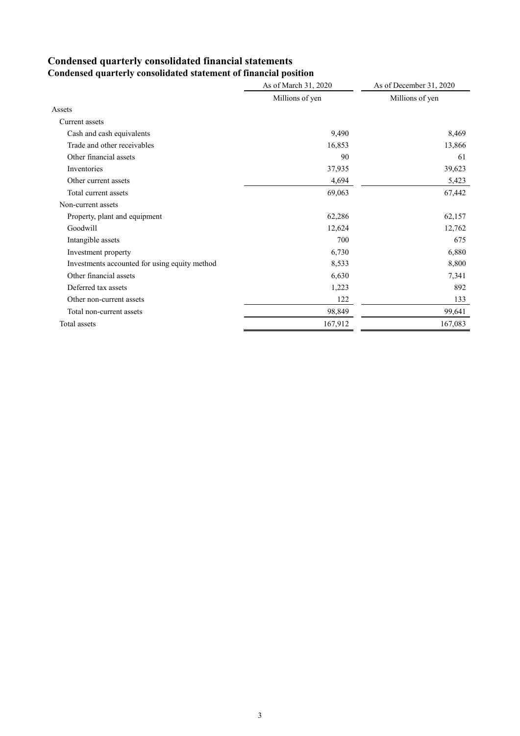# **Condensed quarterly consolidated financial statements**

|                                               | As of March 31, 2020 | As of December 31, 2020 |
|-----------------------------------------------|----------------------|-------------------------|
|                                               | Millions of yen      | Millions of yen         |
| Assets                                        |                      |                         |
| Current assets                                |                      |                         |
| Cash and cash equivalents                     | 9,490                | 8,469                   |
| Trade and other receivables                   | 16,853               | 13,866                  |
| Other financial assets                        | 90                   | 61                      |
| Inventories                                   | 37,935               | 39,623                  |
| Other current assets                          | 4,694                | 5,423                   |
| Total current assets                          | 69,063               | 67,442                  |
| Non-current assets                            |                      |                         |
| Property, plant and equipment                 | 62,286               | 62,157                  |
| Goodwill                                      | 12,624               | 12,762                  |
| Intangible assets                             | 700                  | 675                     |
| Investment property                           | 6,730                | 6,880                   |
| Investments accounted for using equity method | 8,533                | 8,800                   |
| Other financial assets                        | 6,630                | 7,341                   |
| Deferred tax assets                           | 1,223                | 892                     |
| Other non-current assets                      | 122                  | 133                     |
| Total non-current assets                      | 98,849               | 99,641                  |
| Total assets                                  | 167,912              | 167,083                 |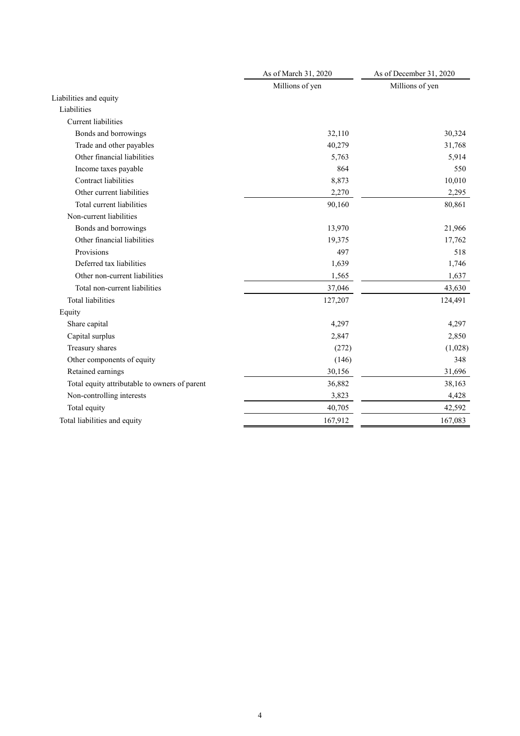|                                               | As of March 31, 2020 | As of December 31, 2020 |
|-----------------------------------------------|----------------------|-------------------------|
|                                               | Millions of yen      | Millions of yen         |
| Liabilities and equity                        |                      |                         |
| Liabilities                                   |                      |                         |
| <b>Current</b> liabilities                    |                      |                         |
| Bonds and borrowings                          | 32,110               | 30,324                  |
| Trade and other payables                      | 40,279               | 31,768                  |
| Other financial liabilities                   | 5,763                | 5,914                   |
| Income taxes payable                          | 864                  | 550                     |
| <b>Contract liabilities</b>                   | 8,873                | 10,010                  |
| Other current liabilities                     | 2,270                | 2,295                   |
| Total current liabilities                     | 90,160               | 80,861                  |
| Non-current liabilities                       |                      |                         |
| Bonds and borrowings                          | 13,970               | 21,966                  |
| Other financial liabilities                   | 19,375               | 17,762                  |
| Provisions                                    | 497                  | 518                     |
| Deferred tax liabilities                      | 1,639                | 1,746                   |
| Other non-current liabilities                 | 1,565                | 1,637                   |
| Total non-current liabilities                 | 37,046               | 43,630                  |
| Total liabilities                             | 127,207              | 124,491                 |
| Equity                                        |                      |                         |
| Share capital                                 | 4,297                | 4,297                   |
| Capital surplus                               | 2,847                | 2,850                   |
| Treasury shares                               | (272)                | (1,028)                 |
| Other components of equity                    | (146)                | 348                     |
| Retained earnings                             | 30,156               | 31,696                  |
| Total equity attributable to owners of parent | 36,882               | 38,163                  |
| Non-controlling interests                     | 3,823                | 4,428                   |
| Total equity                                  | 40,705               | 42,592                  |
| Total liabilities and equity                  | 167,912              | 167,083                 |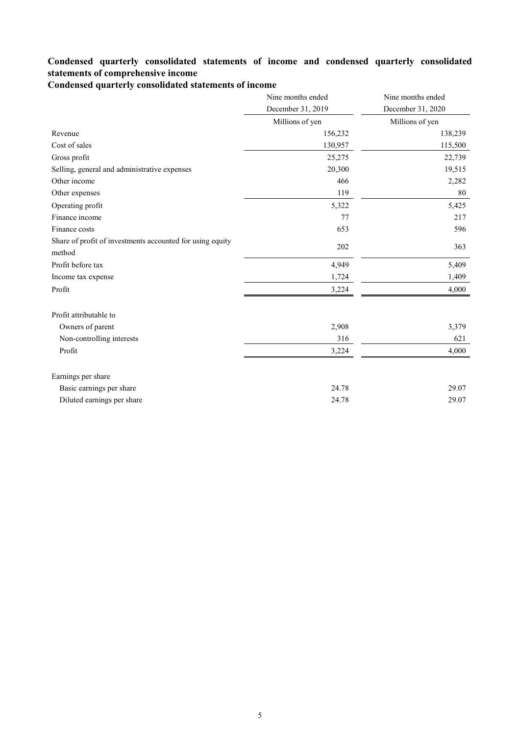### **Condensed quarterly consolidated statements of income and condensed quarterly consolidated statements of comprehensive income**

**Condensed quarterly consolidated statements of income**

|                                                                     | Nine months ended | Nine months ended |
|---------------------------------------------------------------------|-------------------|-------------------|
|                                                                     | December 31, 2019 | December 31, 2020 |
|                                                                     | Millions of yen   | Millions of yen   |
| Revenue                                                             | 156,232           | 138,239           |
| Cost of sales                                                       | 130,957           | 115,500           |
| Gross profit                                                        | 25,275            | 22,739            |
| Selling, general and administrative expenses                        | 20,300            | 19,515            |
| Other income                                                        | 466               | 2,282             |
| Other expenses                                                      | 119               | 80                |
| Operating profit                                                    | 5,322             | 5,425             |
| Finance income                                                      | 77                | 217               |
| Finance costs                                                       | 653               | 596               |
| Share of profit of investments accounted for using equity<br>method | 202               | 363               |
| Profit before tax                                                   | 4,949             | 5,409             |
| Income tax expense                                                  | 1,724             | 1,409             |
| Profit                                                              | 3,224             | 4,000             |
| Profit attributable to                                              |                   |                   |
| Owners of parent                                                    | 2,908             | 3,379             |
| Non-controlling interests                                           | 316               | 621               |
| Profit                                                              | 3,224             | 4,000             |
| Earnings per share                                                  |                   |                   |
| Basic earnings per share                                            | 24.78             | 29.07             |
| Diluted earnings per share                                          | 24.78             | 29.07             |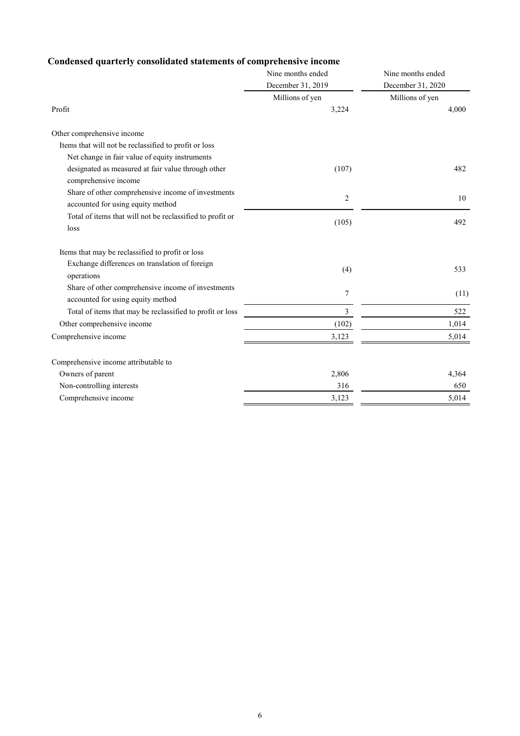## **Condensed quarterly consolidated statements of comprehensive income**

|                                                                                         | Nine months ended | Nine months ended |  |
|-----------------------------------------------------------------------------------------|-------------------|-------------------|--|
|                                                                                         | December 31, 2019 | December 31, 2020 |  |
|                                                                                         | Millions of yen   | Millions of yen   |  |
| Profit                                                                                  | 3,224             | 4,000             |  |
| Other comprehensive income                                                              |                   |                   |  |
| Items that will not be reclassified to profit or loss                                   |                   |                   |  |
| Net change in fair value of equity instruments                                          |                   |                   |  |
| designated as measured at fair value through other<br>comprehensive income              | (107)             | 482               |  |
| Share of other comprehensive income of investments<br>accounted for using equity method | 2                 | 10                |  |
| Total of items that will not be reclassified to profit or                               |                   |                   |  |
| loss                                                                                    | (105)             | 492               |  |
| Items that may be reclassified to profit or loss                                        |                   |                   |  |
| Exchange differences on translation of foreign<br>operations                            | (4)               | 533               |  |
| Share of other comprehensive income of investments<br>accounted for using equity method | $\tau$            | (11)              |  |
| Total of items that may be reclassified to profit or loss                               | 3                 | 522               |  |
| Other comprehensive income                                                              | (102)             | 1,014             |  |
| Comprehensive income                                                                    | 3,123             | 5,014             |  |
| Comprehensive income attributable to                                                    |                   |                   |  |
| Owners of parent                                                                        | 2,806             | 4,364             |  |
| Non-controlling interests                                                               | 316               | 650               |  |
| Comprehensive income                                                                    | 3,123             | 5,014             |  |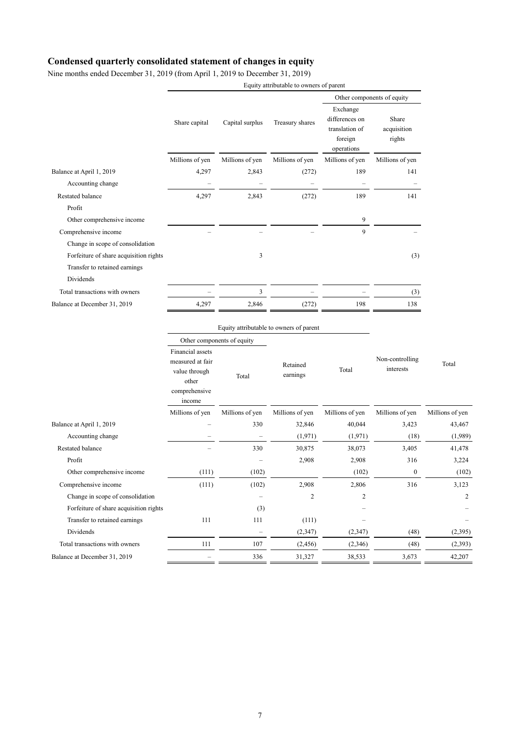### **Condensed quarterly consolidated statement of changes in equity**

Nine months ended December 31, 2019 (from April 1, 2019 to December 31, 2019)

| Equity attributable to owners of parent |                                        |                 |                                                                       |                                |  |
|-----------------------------------------|----------------------------------------|-----------------|-----------------------------------------------------------------------|--------------------------------|--|
|                                         |                                        |                 | Other components of equity                                            |                                |  |
| Share capital                           | Capital surplus                        | Treasury shares | Exchange<br>differences on<br>translation of<br>foreign<br>operations | Share<br>acquisition<br>rights |  |
| Millions of yen                         | Millions of yen                        | Millions of yen | Millions of yen                                                       | Millions of yen                |  |
| 4,297                                   | 2,843                                  | (272)           | 189                                                                   | 141                            |  |
|                                         |                                        |                 |                                                                       |                                |  |
| 4,297                                   | 2,843                                  | (272)           | 189                                                                   | 141                            |  |
|                                         |                                        |                 |                                                                       |                                |  |
|                                         |                                        |                 | 9                                                                     |                                |  |
|                                         |                                        |                 | 9                                                                     |                                |  |
|                                         |                                        |                 |                                                                       |                                |  |
|                                         | 3                                      |                 |                                                                       | (3)                            |  |
|                                         |                                        |                 |                                                                       |                                |  |
|                                         |                                        |                 |                                                                       |                                |  |
|                                         | 3                                      |                 |                                                                       | (3)                            |  |
| 4,297                                   | 2,846                                  | (272)           | 198                                                                   | 138                            |  |
|                                         | Forfeiture of share acquisition rights |                 |                                                                       |                                |  |

#### Equity attributable to owners of parent

|                                        | Other components of equity                                                                |                 |                      |                 |                              |                 |
|----------------------------------------|-------------------------------------------------------------------------------------------|-----------------|----------------------|-----------------|------------------------------|-----------------|
|                                        | Financial assets<br>measured at fair<br>value through<br>other<br>comprehensive<br>income | Total           | Retained<br>earnings | Total           | Non-controlling<br>interests | Total           |
|                                        | Millions of yen                                                                           | Millions of yen | Millions of yen      | Millions of yen | Millions of yen              | Millions of yen |
| Balance at April 1, 2019               |                                                                                           | 330             | 32,846               | 40,044          | 3,423                        | 43,467          |
| Accounting change                      |                                                                                           |                 | (1,971)              | (1,971)         | (18)                         | (1,989)         |
| Restated balance                       |                                                                                           | 330             | 30,875               | 38,073          | 3,405                        | 41,478          |
| Profit                                 |                                                                                           |                 | 2,908                | 2,908           | 316                          | 3,224           |
| Other comprehensive income             | (111)                                                                                     | (102)           |                      | (102)           | $\mathbf{0}$                 | (102)           |
| Comprehensive income                   | (111)                                                                                     | (102)           | 2,908                | 2,806           | 316                          | 3,123           |
| Change in scope of consolidation       |                                                                                           | -               | $\overline{2}$       | $\overline{2}$  |                              | 2               |
| Forfeiture of share acquisition rights |                                                                                           | (3)             |                      |                 |                              |                 |
| Transfer to retained earnings          | 111                                                                                       | 111             | (111)                |                 |                              |                 |
| Dividends                              |                                                                                           |                 | (2,347)              | (2,347)         | (48)                         | (2,395)         |
| Total transactions with owners         | 111                                                                                       | 107             | (2, 456)             | (2,346)         | (48)                         | (2,393)         |
| Balance at December 31, 2019           |                                                                                           | 336             | 31,327               | 38,533          | 3,673                        | 42,207          |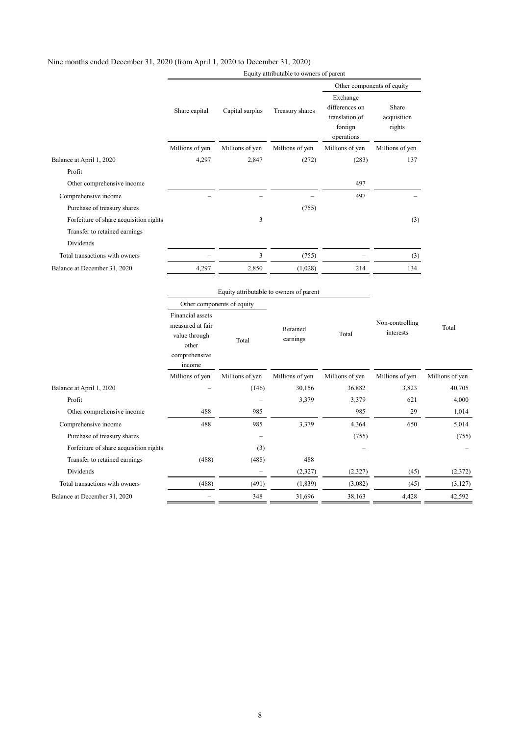|                                        | Equity attributable to owners of parent                                                   |                            |                                         |                                                                       |                                |                 |
|----------------------------------------|-------------------------------------------------------------------------------------------|----------------------------|-----------------------------------------|-----------------------------------------------------------------------|--------------------------------|-----------------|
|                                        |                                                                                           |                            |                                         | Other components of equity                                            |                                |                 |
|                                        | Share capital                                                                             | Capital surplus            | Treasury shares                         | Exchange<br>differences on<br>translation of<br>foreign<br>operations | Share<br>acquisition<br>rights |                 |
|                                        | Millions of yen                                                                           | Millions of yen            | Millions of yen                         | Millions of yen                                                       | Millions of yen                |                 |
| Balance at April 1, 2020               | 4,297                                                                                     | 2,847                      | (272)                                   | (283)                                                                 | 137                            |                 |
| Profit                                 |                                                                                           |                            |                                         |                                                                       |                                |                 |
| Other comprehensive income             |                                                                                           |                            |                                         | 497                                                                   |                                |                 |
| Comprehensive income                   |                                                                                           |                            |                                         | 497                                                                   |                                |                 |
| Purchase of treasury shares            |                                                                                           |                            | (755)                                   |                                                                       |                                |                 |
| Forfeiture of share acquisition rights |                                                                                           | 3                          |                                         |                                                                       | (3)                            |                 |
| Transfer to retained earnings          |                                                                                           |                            |                                         |                                                                       |                                |                 |
| Dividends                              |                                                                                           |                            |                                         |                                                                       |                                |                 |
| Total transactions with owners         |                                                                                           | 3                          | (755)                                   |                                                                       | (3)                            |                 |
| Balance at December 31, 2020           | 4,297                                                                                     | 2,850                      | (1,028)                                 | 214                                                                   | 134                            |                 |
|                                        |                                                                                           |                            |                                         |                                                                       |                                |                 |
|                                        |                                                                                           |                            | Equity attributable to owners of parent |                                                                       |                                |                 |
|                                        |                                                                                           | Other components of equity |                                         |                                                                       |                                |                 |
|                                        | Financial assets<br>measured at fair<br>value through<br>other<br>comprehensive<br>income | Total                      | Retained<br>earnings                    | Total                                                                 | Non-controlling<br>interests   | Total           |
|                                        | Millions of yen                                                                           | Millions of yen            | Millions of yen                         | Millions of yen                                                       | Millions of yen                | Millions of yen |
| Balance at April 1, 2020               |                                                                                           | (146)                      | 30,156                                  | 36,882                                                                | 3,823                          | 40,705          |
| Profit                                 |                                                                                           |                            | 3,379                                   | 3,379                                                                 | 621                            | 4,000           |
| Other comprehensive income             | 488                                                                                       | 985                        |                                         | 985                                                                   | 29                             | 1,014           |
| Comprehensive income                   | 488                                                                                       | 985                        | 3,379                                   | 4,364                                                                 | 650                            | 5,014           |
| Purchase of treasury shares            |                                                                                           |                            |                                         | (755)                                                                 |                                | (755)           |
| Forfeiture of share acquisition rights |                                                                                           | (3)                        |                                         |                                                                       |                                |                 |
| Transfer to retained earnings          | (488)                                                                                     | (488)                      | 488                                     |                                                                       |                                |                 |
| Dividends                              |                                                                                           |                            | (2,327)                                 | (2,327)                                                               | (45)                           | (2,372)         |
| Total transactions with owners         | (488)                                                                                     | (491)                      | (1,839)                                 | (3,082)                                                               | (45)                           | (3,127)         |
| Balance at December 31, 2020           |                                                                                           | 348                        | 31,696                                  | 38,163                                                                | 4,428                          | 42,592          |
|                                        |                                                                                           |                            |                                         |                                                                       |                                |                 |

### Nine months ended December 31, 2020 (from April 1, 2020 to December 31, 2020)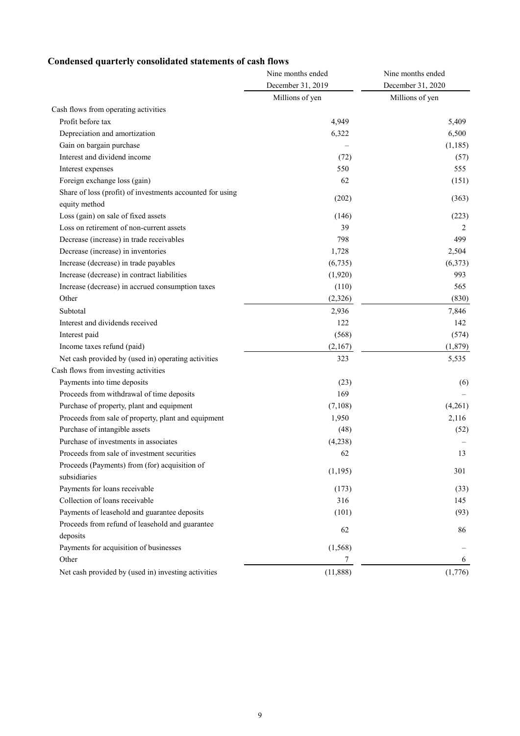## **Condensed quarterly consolidated statements of cash flows**

|                                                           | Nine months ended | Nine months ended<br>December 31, 2020 |  |
|-----------------------------------------------------------|-------------------|----------------------------------------|--|
|                                                           | December 31, 2019 |                                        |  |
|                                                           | Millions of yen   | Millions of yen                        |  |
| Cash flows from operating activities                      |                   |                                        |  |
| Profit before tax                                         | 4,949             | 5,409                                  |  |
| Depreciation and amortization                             | 6,322             | 6,500                                  |  |
| Gain on bargain purchase                                  |                   | (1, 185)                               |  |
| Interest and dividend income                              | (72)              | (57)                                   |  |
| Interest expenses                                         | 550               | 555                                    |  |
| Foreign exchange loss (gain)                              | 62                | (151)                                  |  |
| Share of loss (profit) of investments accounted for using | (202)             | (363)                                  |  |
| equity method                                             |                   |                                        |  |
| Loss (gain) on sale of fixed assets                       | (146)             | (223)                                  |  |
| Loss on retirement of non-current assets                  | 39                | 2                                      |  |
| Decrease (increase) in trade receivables                  | 798               | 499                                    |  |
| Decrease (increase) in inventories                        | 1,728             | 2,504                                  |  |
| Increase (decrease) in trade payables                     | (6,735)           | (6,373)                                |  |
| Increase (decrease) in contract liabilities               | (1,920)           | 993                                    |  |
| Increase (decrease) in accrued consumption taxes          | (110)             | 565                                    |  |
| Other                                                     | (2, 326)          | (830)                                  |  |
| Subtotal                                                  | 2,936             | 7,846                                  |  |
| Interest and dividends received                           | 122               | 142                                    |  |
| Interest paid                                             | (568)             | (574)                                  |  |
| Income taxes refund (paid)                                | (2,167)           | (1, 879)                               |  |
| Net cash provided by (used in) operating activities       | 323               | 5,535                                  |  |
| Cash flows from investing activities                      |                   |                                        |  |
| Payments into time deposits                               | (23)              | (6)                                    |  |
| Proceeds from withdrawal of time deposits                 | 169               |                                        |  |
| Purchase of property, plant and equipment                 | (7,108)           | (4,261)                                |  |
| Proceeds from sale of property, plant and equipment       | 1,950             | 2,116                                  |  |
| Purchase of intangible assets                             | (48)              | (52)                                   |  |
| Purchase of investments in associates                     | (4,238)           |                                        |  |
| Proceeds from sale of investment securities               | 62                | 13                                     |  |
| Proceeds (Payments) from (for) acquisition of             | (1, 195)          | 301                                    |  |
| subsidiaries                                              |                   |                                        |  |
| Payments for loans receivable                             | (173)             | (33)                                   |  |
| Collection of loans receivable                            | 316               | 145                                    |  |
| Payments of leasehold and guarantee deposits              | (101)             | (93)                                   |  |
| Proceeds from refund of leasehold and guarantee           | 62                | 86                                     |  |
| deposits                                                  |                   |                                        |  |
| Payments for acquisition of businesses                    | (1, 568)          |                                        |  |
| Other                                                     | 7                 | 6                                      |  |
| Net cash provided by (used in) investing activities       | (11, 888)         | (1,776)                                |  |